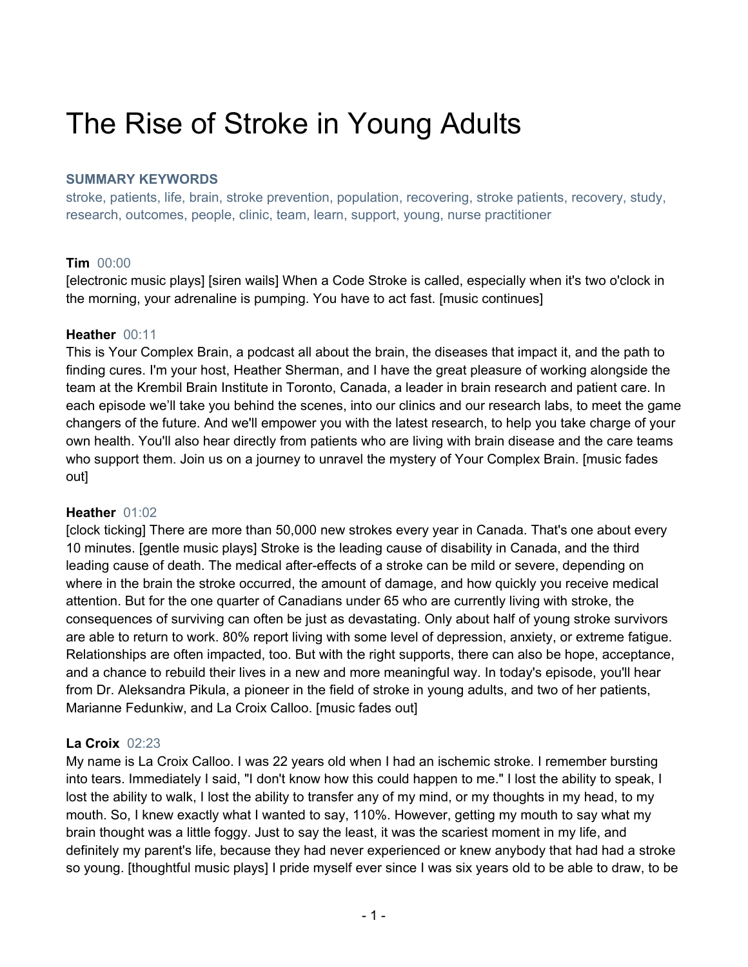# The Rise of Stroke in Young Adults

## **SUMMARY KEYWORDS**

stroke, patients, life, brain, stroke prevention, population, recovering, stroke patients, recovery, study, research, outcomes, people, clinic, team, learn, support, young, nurse practitioner

# **Tim** 00:00

[electronic music plays] [siren wails] When a Code Stroke is called, especially when it's two o'clock in the morning, your adrenaline is pumping. You have to act fast. [music continues]

## **Heather** 00:11

This is Your Complex Brain, a podcast all about the brain, the diseases that impact it, and the path to finding cures. I'm your host, Heather Sherman, and I have the great pleasure of working alongside the team at the Krembil Brain Institute in Toronto, Canada, a leader in brain research and patient care. In each episode we'll take you behind the scenes, into our clinics and our research labs, to meet the game changers of the future. And we'll empower you with the latest research, to help you take charge of your own health. You'll also hear directly from patients who are living with brain disease and the care teams who support them. Join us on a journey to unravel the mystery of Your Complex Brain. [music fades out]

## **Heather** 01:02

[clock ticking] There are more than 50,000 new strokes every year in Canada. That's one about every 10 minutes. [gentle music plays] Stroke is the leading cause of disability in Canada, and the third leading cause of death. The medical after-effects of a stroke can be mild or severe, depending on where in the brain the stroke occurred, the amount of damage, and how quickly you receive medical attention. But for the one quarter of Canadians under 65 who are currently living with stroke, the consequences of surviving can often be just as devastating. Only about half of young stroke survivors are able to return to work. 80% report living with some level of depression, anxiety, or extreme fatigue. Relationships are often impacted, too. But with the right supports, there can also be hope, acceptance, and a chance to rebuild their lives in a new and more meaningful way. In today's episode, you'll hear from Dr. Aleksandra Pikula, a pioneer in the field of stroke in young adults, and two of her patients, Marianne Fedunkiw, and La Croix Calloo. [music fades out]

## **La Croix** 02:23

My name is La Croix Calloo. I was 22 years old when I had an ischemic stroke. I remember bursting into tears. Immediately I said, "I don't know how this could happen to me." I lost the ability to speak, I lost the ability to walk, I lost the ability to transfer any of my mind, or my thoughts in my head, to my mouth. So, I knew exactly what I wanted to say, 110%. However, getting my mouth to say what my brain thought was a little foggy. Just to say the least, it was the scariest moment in my life, and definitely my parent's life, because they had never experienced or knew anybody that had had a stroke so young. [thoughtful music plays] I pride myself ever since I was six years old to be able to draw, to be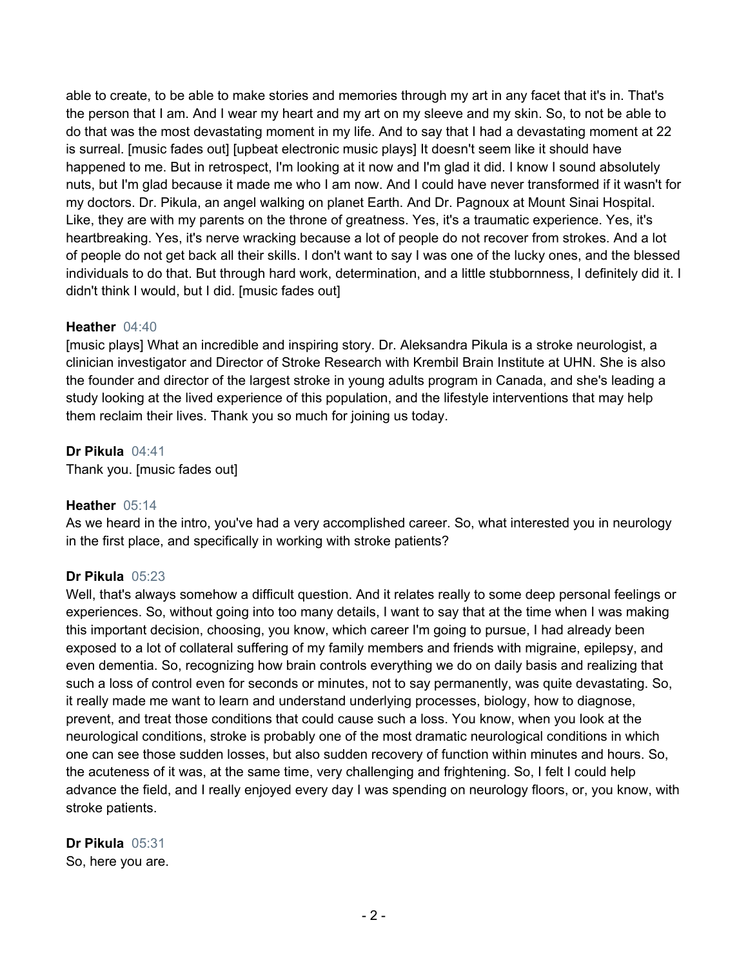able to create, to be able to make stories and memories through my art in any facet that it's in. That's the person that I am. And I wear my heart and my art on my sleeve and my skin. So, to not be able to do that was the most devastating moment in my life. And to say that I had a devastating moment at 22 is surreal. [music fades out] [upbeat electronic music plays] It doesn't seem like it should have happened to me. But in retrospect, I'm looking at it now and I'm glad it did. I know I sound absolutely nuts, but I'm glad because it made me who I am now. And I could have never transformed if it wasn't for my doctors. Dr. Pikula, an angel walking on planet Earth. And Dr. Pagnoux at Mount Sinai Hospital. Like, they are with my parents on the throne of greatness. Yes, it's a traumatic experience. Yes, it's heartbreaking. Yes, it's nerve wracking because a lot of people do not recover from strokes. And a lot of people do not get back all their skills. I don't want to say I was one of the lucky ones, and the blessed individuals to do that. But through hard work, determination, and a little stubbornness, I definitely did it. I didn't think I would, but I did. [music fades out]

## **Heather** 04:40

[music plays] What an incredible and inspiring story. Dr. Aleksandra Pikula is a stroke neurologist, a clinician investigator and Director of Stroke Research with Krembil Brain Institute at UHN. She is also the founder and director of the largest stroke in young adults program in Canada, and she's leading a study looking at the lived experience of this population, and the lifestyle interventions that may help them reclaim their lives. Thank you so much for joining us today.

#### **Dr Pikula** 04:41

Thank you. [music fades out]

#### **Heather** 05:14

As we heard in the intro, you've had a very accomplished career. So, what interested you in neurology in the first place, and specifically in working with stroke patients?

## **Dr Pikula** 05:23

Well, that's always somehow a difficult question. And it relates really to some deep personal feelings or experiences. So, without going into too many details, I want to say that at the time when I was making this important decision, choosing, you know, which career I'm going to pursue, I had already been exposed to a lot of collateral suffering of my family members and friends with migraine, epilepsy, and even dementia. So, recognizing how brain controls everything we do on daily basis and realizing that such a loss of control even for seconds or minutes, not to say permanently, was quite devastating. So, it really made me want to learn and understand underlying processes, biology, how to diagnose, prevent, and treat those conditions that could cause such a loss. You know, when you look at the neurological conditions, stroke is probably one of the most dramatic neurological conditions in which one can see those sudden losses, but also sudden recovery of function within minutes and hours. So, the acuteness of it was, at the same time, very challenging and frightening. So, I felt I could help advance the field, and I really enjoyed every day I was spending on neurology floors, or, you know, with stroke patients.

#### **Dr Pikula** 05:31 So, here you are.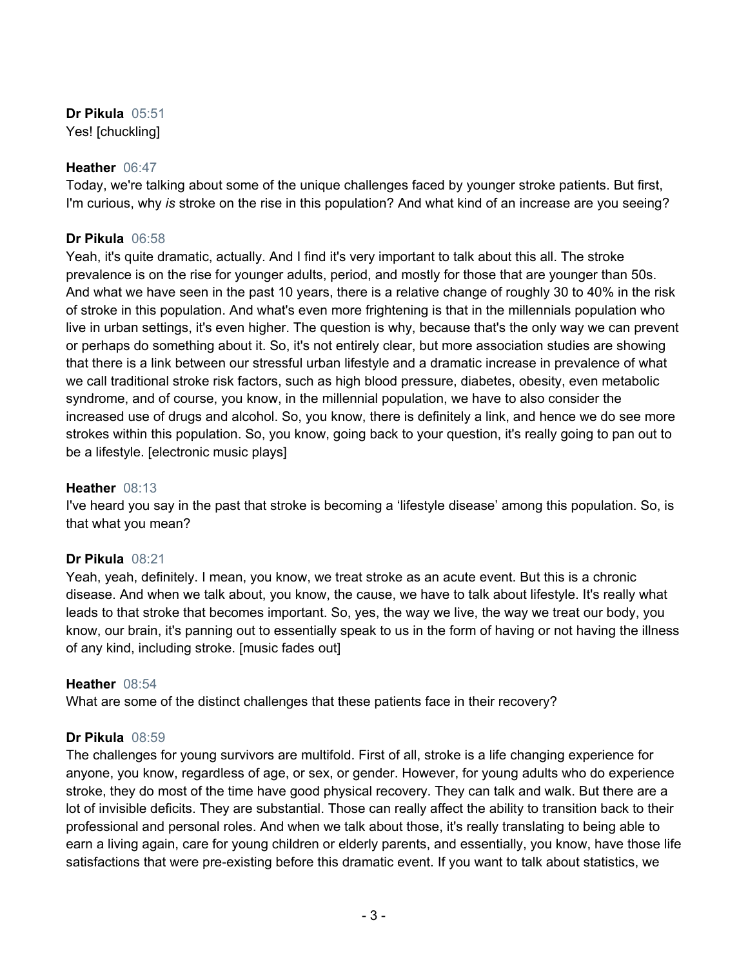**Dr Pikula** 05:51 Yes! [chuckling]

#### **Heather** 06:47

Today, we're talking about some of the unique challenges faced by younger stroke patients. But first, I'm curious, why *is* stroke on the rise in this population? And what kind of an increase are you seeing?

## **Dr Pikula** 06:58

Yeah, it's quite dramatic, actually. And I find it's very important to talk about this all. The stroke prevalence is on the rise for younger adults, period, and mostly for those that are younger than 50s. And what we have seen in the past 10 years, there is a relative change of roughly 30 to 40% in the risk of stroke in this population. And what's even more frightening is that in the millennials population who live in urban settings, it's even higher. The question is why, because that's the only way we can prevent or perhaps do something about it. So, it's not entirely clear, but more association studies are showing that there is a link between our stressful urban lifestyle and a dramatic increase in prevalence of what we call traditional stroke risk factors, such as high blood pressure, diabetes, obesity, even metabolic syndrome, and of course, you know, in the millennial population, we have to also consider the increased use of drugs and alcohol. So, you know, there is definitely a link, and hence we do see more strokes within this population. So, you know, going back to your question, it's really going to pan out to be a lifestyle. [electronic music plays]

#### **Heather** 08:13

I've heard you say in the past that stroke is becoming a 'lifestyle disease' among this population. So, is that what you mean?

## **Dr Pikula** 08:21

Yeah, yeah, definitely. I mean, you know, we treat stroke as an acute event. But this is a chronic disease. And when we talk about, you know, the cause, we have to talk about lifestyle. It's really what leads to that stroke that becomes important. So, yes, the way we live, the way we treat our body, you know, our brain, it's panning out to essentially speak to us in the form of having or not having the illness of any kind, including stroke. [music fades out]

## **Heather** 08:54

What are some of the distinct challenges that these patients face in their recovery?

## **Dr Pikula** 08:59

The challenges for young survivors are multifold. First of all, stroke is a life changing experience for anyone, you know, regardless of age, or sex, or gender. However, for young adults who do experience stroke, they do most of the time have good physical recovery. They can talk and walk. But there are a lot of invisible deficits. They are substantial. Those can really affect the ability to transition back to their professional and personal roles. And when we talk about those, it's really translating to being able to earn a living again, care for young children or elderly parents, and essentially, you know, have those life satisfactions that were pre-existing before this dramatic event. If you want to talk about statistics, we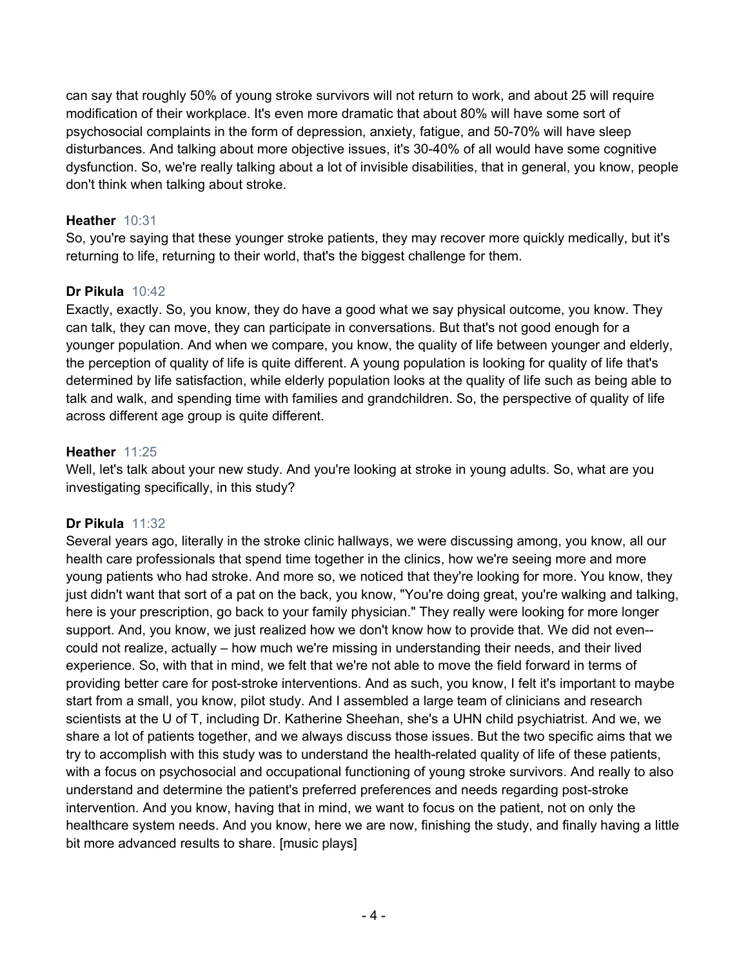can say that roughly 50% of young stroke survivors will not return to work, and about 25 will require modification of their workplace. It's even more dramatic that about 80% will have some sort of psychosocial complaints in the form of depression, anxiety, fatigue, and 50-70% will have sleep disturbances. And talking about more objective issues, it's 30-40% of all would have some cognitive dysfunction. So, we're really talking about a lot of invisible disabilities, that in general, you know, people don't think when talking about stroke.

## **Heather** 10:31

So, you're saying that these younger stroke patients, they may recover more quickly medically, but it's returning to life, returning to their world, that's the biggest challenge for them.

## **Dr Pikula** 10:42

Exactly, exactly. So, you know, they do have a good what we say physical outcome, you know. They can talk, they can move, they can participate in conversations. But that's not good enough for a younger population. And when we compare, you know, the quality of life between younger and elderly, the perception of quality of life is quite different. A young population is looking for quality of life that's determined by life satisfaction, while elderly population looks at the quality of life such as being able to talk and walk, and spending time with families and grandchildren. So, the perspective of quality of life across different age group is quite different.

## **Heather** 11:25

Well, let's talk about your new study. And you're looking at stroke in young adults. So, what are you investigating specifically, in this study?

# **Dr Pikula** 11:32

Several years ago, literally in the stroke clinic hallways, we were discussing among, you know, all our health care professionals that spend time together in the clinics, how we're seeing more and more young patients who had stroke. And more so, we noticed that they're looking for more. You know, they just didn't want that sort of a pat on the back, you know, "You're doing great, you're walking and talking, here is your prescription, go back to your family physician." They really were looking for more longer support. And, you know, we just realized how we don't know how to provide that. We did not even- could not realize, actually – how much we're missing in understanding their needs, and their lived experience. So, with that in mind, we felt that we're not able to move the field forward in terms of providing better care for post-stroke interventions. And as such, you know, I felt it's important to maybe start from a small, you know, pilot study. And I assembled a large team of clinicians and research scientists at the U of T, including Dr. Katherine Sheehan, she's a UHN child psychiatrist. And we, we share a lot of patients together, and we always discuss those issues. But the two specific aims that we try to accomplish with this study was to understand the health-related quality of life of these patients, with a focus on psychosocial and occupational functioning of young stroke survivors. And really to also understand and determine the patient's preferred preferences and needs regarding post-stroke intervention. And you know, having that in mind, we want to focus on the patient, not on only the healthcare system needs. And you know, here we are now, finishing the study, and finally having a little bit more advanced results to share. [music plays]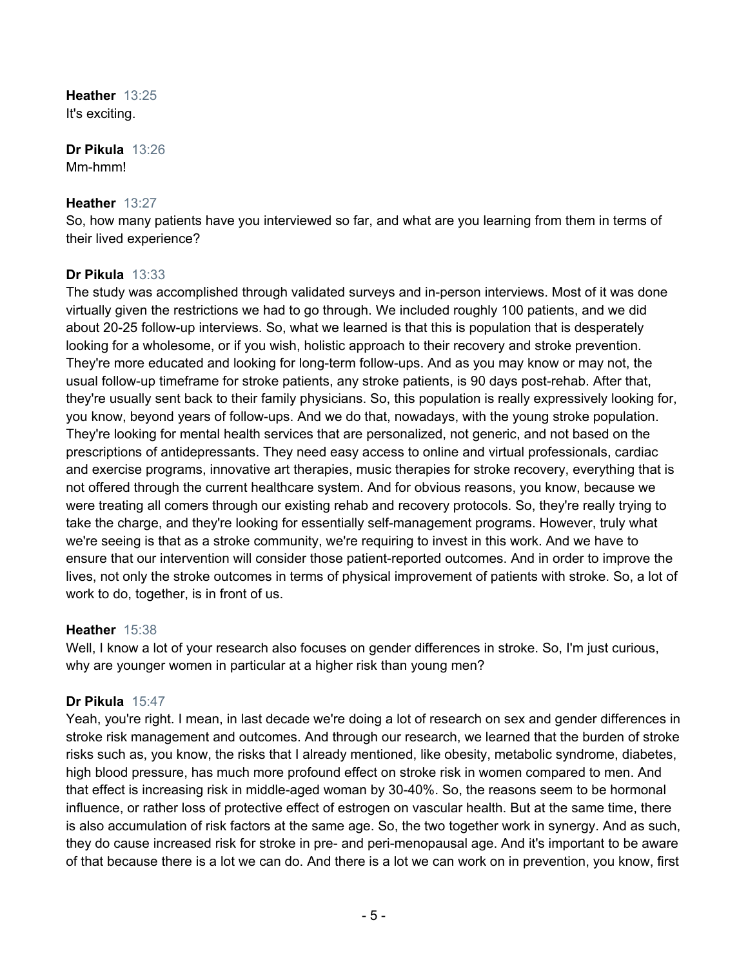**Heather** 13:25 It's exciting.

**Dr Pikula** 13:26 Mm-hmm!

#### **Heather** 13:27

So, how many patients have you interviewed so far, and what are you learning from them in terms of their lived experience?

## **Dr Pikula** 13:33

The study was accomplished through validated surveys and in-person interviews. Most of it was done virtually given the restrictions we had to go through. We included roughly 100 patients, and we did about 20-25 follow-up interviews. So, what we learned is that this is population that is desperately looking for a wholesome, or if you wish, holistic approach to their recovery and stroke prevention. They're more educated and looking for long-term follow-ups. And as you may know or may not, the usual follow-up timeframe for stroke patients, any stroke patients, is 90 days post-rehab. After that, they're usually sent back to their family physicians. So, this population is really expressively looking for, you know, beyond years of follow-ups. And we do that, nowadays, with the young stroke population. They're looking for mental health services that are personalized, not generic, and not based on the prescriptions of antidepressants. They need easy access to online and virtual professionals, cardiac and exercise programs, innovative art therapies, music therapies for stroke recovery, everything that is not offered through the current healthcare system. And for obvious reasons, you know, because we were treating all comers through our existing rehab and recovery protocols. So, they're really trying to take the charge, and they're looking for essentially self-management programs. However, truly what we're seeing is that as a stroke community, we're requiring to invest in this work. And we have to ensure that our intervention will consider those patient-reported outcomes. And in order to improve the lives, not only the stroke outcomes in terms of physical improvement of patients with stroke. So, a lot of work to do, together, is in front of us.

## **Heather** 15:38

Well, I know a lot of your research also focuses on gender differences in stroke. So, I'm just curious, why are younger women in particular at a higher risk than young men?

## **Dr Pikula** 15:47

Yeah, you're right. I mean, in last decade we're doing a lot of research on sex and gender differences in stroke risk management and outcomes. And through our research, we learned that the burden of stroke risks such as, you know, the risks that I already mentioned, like obesity, metabolic syndrome, diabetes, high blood pressure, has much more profound effect on stroke risk in women compared to men. And that effect is increasing risk in middle-aged woman by 30-40%. So, the reasons seem to be hormonal influence, or rather loss of protective effect of estrogen on vascular health. But at the same time, there is also accumulation of risk factors at the same age. So, the two together work in synergy. And as such, they do cause increased risk for stroke in pre- and peri-menopausal age. And it's important to be aware of that because there is a lot we can do. And there is a lot we can work on in prevention, you know, first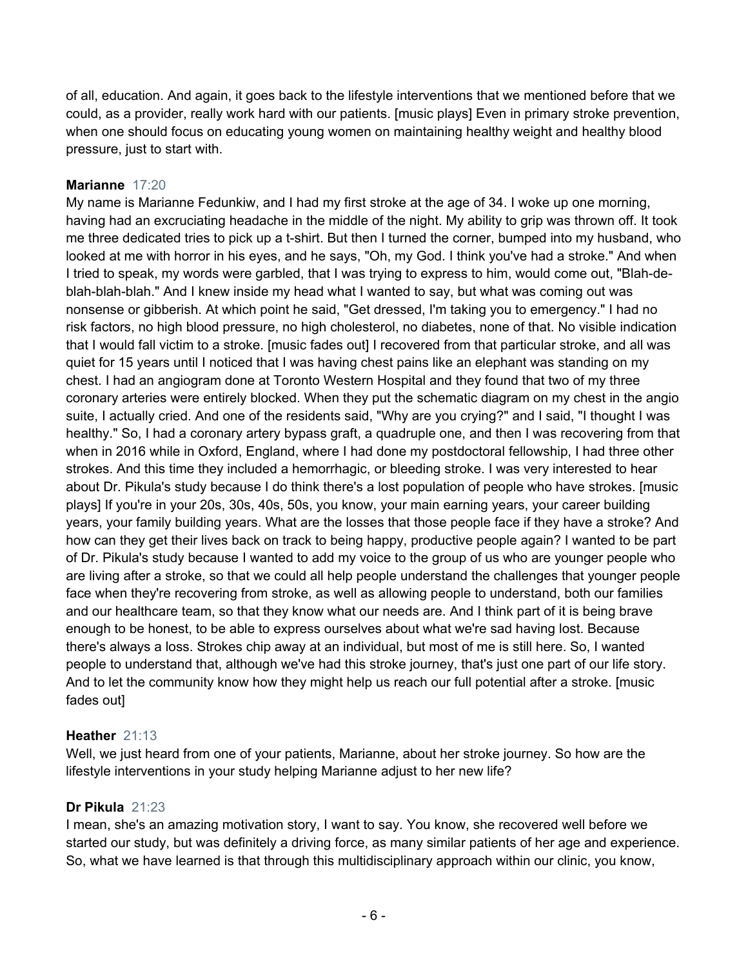of all, education. And again, it goes back to the lifestyle interventions that we mentioned before that we could, as a provider, really work hard with our patients. [music plays] Even in primary stroke prevention, when one should focus on educating young women on maintaining healthy weight and healthy blood pressure, just to start with.

## **Marianne** 17:20

My name is Marianne Fedunkiw, and I had my first stroke at the age of 34. I woke up one morning, having had an excruciating headache in the middle of the night. My ability to grip was thrown off. It took me three dedicated tries to pick up a t-shirt. But then I turned the corner, bumped into my husband, who looked at me with horror in his eyes, and he says, "Oh, my God. I think you've had a stroke." And when I tried to speak, my words were garbled, that I was trying to express to him, would come out, "Blah-deblah-blah-blah." And I knew inside my head what I wanted to say, but what was coming out was nonsense or gibberish. At which point he said, "Get dressed, I'm taking you to emergency." I had no risk factors, no high blood pressure, no high cholesterol, no diabetes, none of that. No visible indication that I would fall victim to a stroke. [music fades out] I recovered from that particular stroke, and all was quiet for 15 years until I noticed that I was having chest pains like an elephant was standing on my chest. I had an angiogram done at Toronto Western Hospital and they found that two of my three coronary arteries were entirely blocked. When they put the schematic diagram on my chest in the angio suite, I actually cried. And one of the residents said, "Why are you crying?" and I said, "I thought I was healthy." So, I had a coronary artery bypass graft, a quadruple one, and then I was recovering from that when in 2016 while in Oxford, England, where I had done my postdoctoral fellowship, I had three other strokes. And this time they included a hemorrhagic, or bleeding stroke. I was very interested to hear about Dr. Pikula's study because I do think there's a lost population of people who have strokes. [music plays] If you're in your 20s, 30s, 40s, 50s, you know, your main earning years, your career building years, your family building years. What are the losses that those people face if they have a stroke? And how can they get their lives back on track to being happy, productive people again? I wanted to be part of Dr. Pikula's study because I wanted to add my voice to the group of us who are younger people who are living after a stroke, so that we could all help people understand the challenges that younger people face when they're recovering from stroke, as well as allowing people to understand, both our families and our healthcare team, so that they know what our needs are. And I think part of it is being brave enough to be honest, to be able to express ourselves about what we're sad having lost. Because there's always a loss. Strokes chip away at an individual, but most of me is still here. So, I wanted people to understand that, although we've had this stroke journey, that's just one part of our life story. And to let the community know how they might help us reach our full potential after a stroke. [music fades out]

## **Heather** 21:13

Well, we just heard from one of your patients, Marianne, about her stroke journey. So how are the lifestyle interventions in your study helping Marianne adjust to her new life?

## **Dr Pikula** 21:23

I mean, she's an amazing motivation story, I want to say. You know, she recovered well before we started our study, but was definitely a driving force, as many similar patients of her age and experience. So, what we have learned is that through this multidisciplinary approach within our clinic, you know,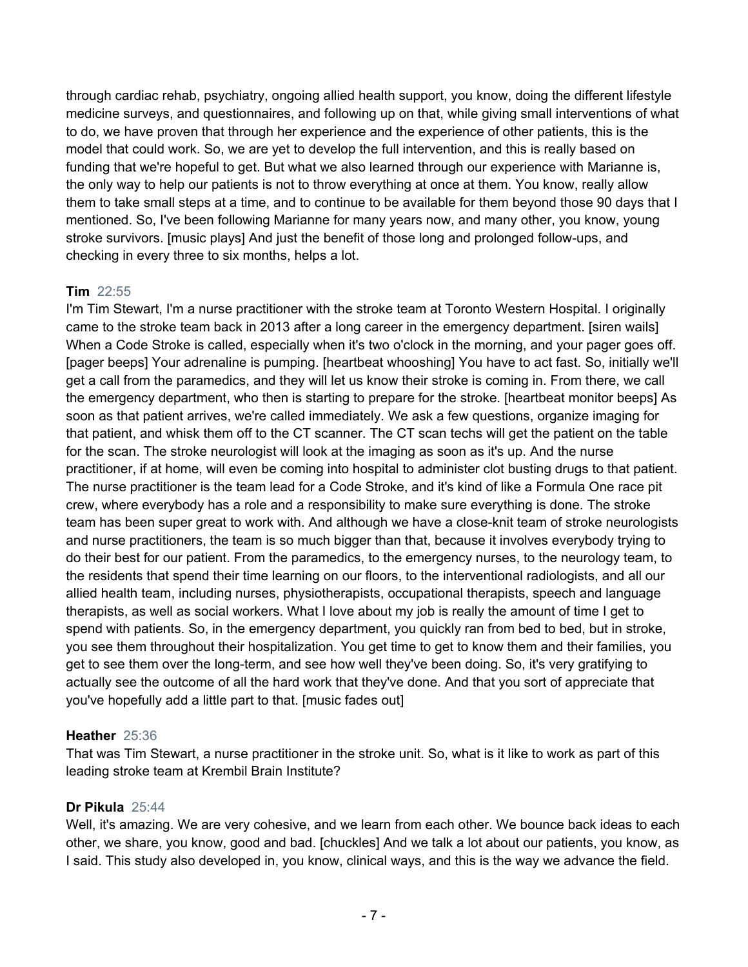through cardiac rehab, psychiatry, ongoing allied health support, you know, doing the different lifestyle medicine surveys, and questionnaires, and following up on that, while giving small interventions of what to do, we have proven that through her experience and the experience of other patients, this is the model that could work. So, we are yet to develop the full intervention, and this is really based on funding that we're hopeful to get. But what we also learned through our experience with Marianne is, the only way to help our patients is not to throw everything at once at them. You know, really allow them to take small steps at a time, and to continue to be available for them beyond those 90 days that I mentioned. So, I've been following Marianne for many years now, and many other, you know, young stroke survivors. [music plays] And just the benefit of those long and prolonged follow-ups, and checking in every three to six months, helps a lot.

## **Tim** 22:55

I'm Tim Stewart, I'm a nurse practitioner with the stroke team at Toronto Western Hospital. I originally came to the stroke team back in 2013 after a long career in the emergency department. [siren wails] When a Code Stroke is called, especially when it's two o'clock in the morning, and your pager goes off. [pager beeps] Your adrenaline is pumping. [heartbeat whooshing] You have to act fast. So, initially we'll get a call from the paramedics, and they will let us know their stroke is coming in. From there, we call the emergency department, who then is starting to prepare for the stroke. [heartbeat monitor beeps] As soon as that patient arrives, we're called immediately. We ask a few questions, organize imaging for that patient, and whisk them off to the CT scanner. The CT scan techs will get the patient on the table for the scan. The stroke neurologist will look at the imaging as soon as it's up. And the nurse practitioner, if at home, will even be coming into hospital to administer clot busting drugs to that patient. The nurse practitioner is the team lead for a Code Stroke, and it's kind of like a Formula One race pit crew, where everybody has a role and a responsibility to make sure everything is done. The stroke team has been super great to work with. And although we have a close-knit team of stroke neurologists and nurse practitioners, the team is so much bigger than that, because it involves everybody trying to do their best for our patient. From the paramedics, to the emergency nurses, to the neurology team, to the residents that spend their time learning on our floors, to the interventional radiologists, and all our allied health team, including nurses, physiotherapists, occupational therapists, speech and language therapists, as well as social workers. What I love about my job is really the amount of time I get to spend with patients. So, in the emergency department, you quickly ran from bed to bed, but in stroke, you see them throughout their hospitalization. You get time to get to know them and their families, you get to see them over the long-term, and see how well they've been doing. So, it's very gratifying to actually see the outcome of all the hard work that they've done. And that you sort of appreciate that you've hopefully add a little part to that. [music fades out]

## **Heather** 25:36

That was Tim Stewart, a nurse practitioner in the stroke unit. So, what is it like to work as part of this leading stroke team at Krembil Brain Institute?

## **Dr Pikula** 25:44

Well, it's amazing. We are very cohesive, and we learn from each other. We bounce back ideas to each other, we share, you know, good and bad. [chuckles] And we talk a lot about our patients, you know, as I said. This study also developed in, you know, clinical ways, and this is the way we advance the field.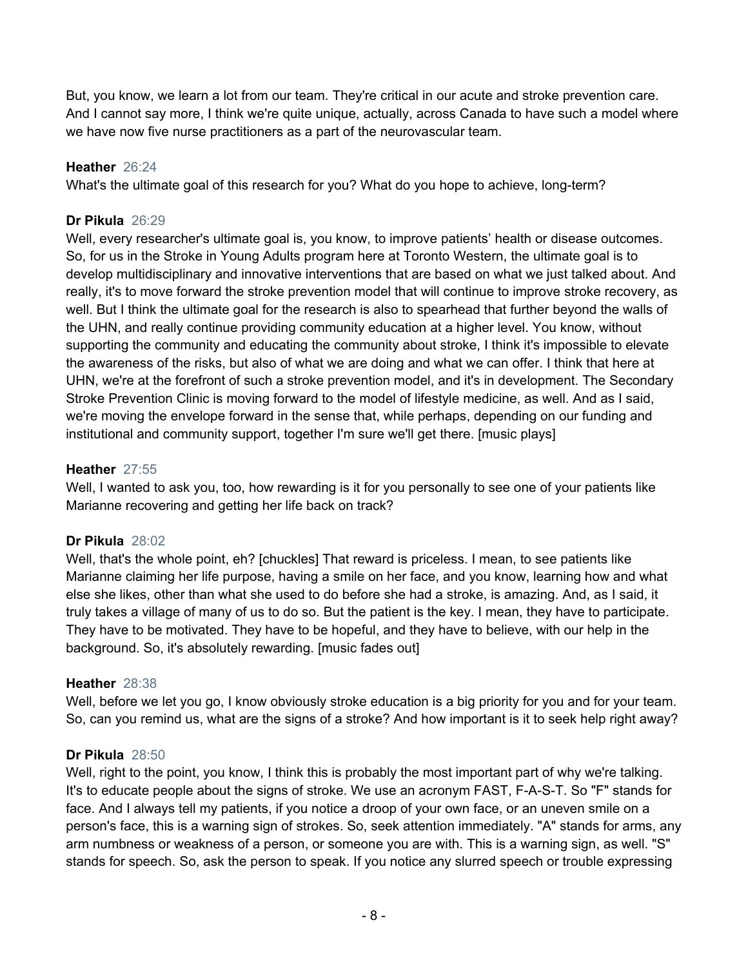But, you know, we learn a lot from our team. They're critical in our acute and stroke prevention care. And I cannot say more, I think we're quite unique, actually, across Canada to have such a model where we have now five nurse practitioners as a part of the neurovascular team.

## **Heather** 26:24

What's the ultimate goal of this research for you? What do you hope to achieve, long-term?

## **Dr Pikula** 26:29

Well, every researcher's ultimate goal is, you know, to improve patients' health or disease outcomes. So, for us in the Stroke in Young Adults program here at Toronto Western, the ultimate goal is to develop multidisciplinary and innovative interventions that are based on what we just talked about. And really, it's to move forward the stroke prevention model that will continue to improve stroke recovery, as well. But I think the ultimate goal for the research is also to spearhead that further beyond the walls of the UHN, and really continue providing community education at a higher level. You know, without supporting the community and educating the community about stroke, I think it's impossible to elevate the awareness of the risks, but also of what we are doing and what we can offer. I think that here at UHN, we're at the forefront of such a stroke prevention model, and it's in development. The Secondary Stroke Prevention Clinic is moving forward to the model of lifestyle medicine, as well. And as I said, we're moving the envelope forward in the sense that, while perhaps, depending on our funding and institutional and community support, together I'm sure we'll get there. [music plays]

## **Heather** 27:55

Well, I wanted to ask you, too, how rewarding is it for you personally to see one of your patients like Marianne recovering and getting her life back on track?

## **Dr Pikula** 28:02

Well, that's the whole point, eh? [chuckles] That reward is priceless. I mean, to see patients like Marianne claiming her life purpose, having a smile on her face, and you know, learning how and what else she likes, other than what she used to do before she had a stroke, is amazing. And, as I said, it truly takes a village of many of us to do so. But the patient is the key. I mean, they have to participate. They have to be motivated. They have to be hopeful, and they have to believe, with our help in the background. So, it's absolutely rewarding. [music fades out]

## **Heather** 28:38

Well, before we let you go, I know obviously stroke education is a big priority for you and for your team. So, can you remind us, what are the signs of a stroke? And how important is it to seek help right away?

# **Dr Pikula** 28:50

Well, right to the point, you know, I think this is probably the most important part of why we're talking. It's to educate people about the signs of stroke. We use an acronym FAST, F-A-S-T. So "F" stands for face. And I always tell my patients, if you notice a droop of your own face, or an uneven smile on a person's face, this is a warning sign of strokes. So, seek attention immediately. "A" stands for arms, any arm numbness or weakness of a person, or someone you are with. This is a warning sign, as well. "S" stands for speech. So, ask the person to speak. If you notice any slurred speech or trouble expressing